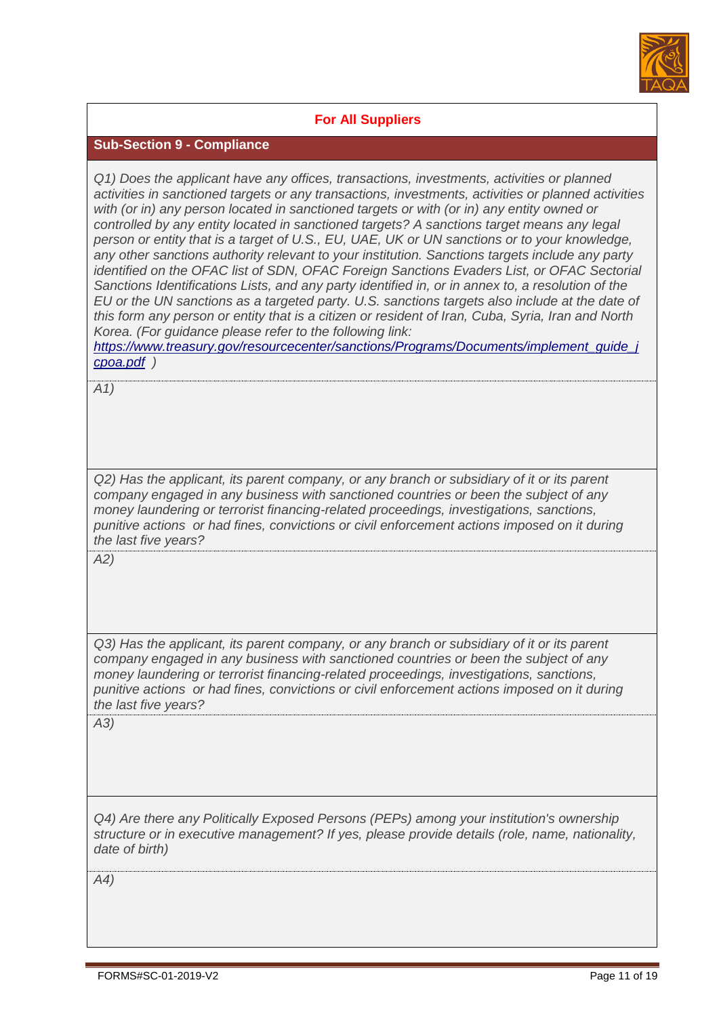

## **For All Suppliers**

## **Sub-Section 9 - Compliance**

*Q1) Does the applicant have any offices, transactions, investments, activities or planned activities in sanctioned targets or any transactions, investments, activities or planned activities with (or in) any person located in sanctioned targets or with (or in) any entity owned or controlled by any entity located in sanctioned targets? A sanctions target means any legal person or entity that is a target of U.S., EU, UAE, UK or UN sanctions or to your knowledge, any other sanctions authority relevant to your institution. Sanctions targets include any party identified on the OFAC list of SDN, OFAC Foreign Sanctions Evaders List, or OFAC Sectorial Sanctions Identifications Lists, and any party identified in, or in annex to, a resolution of the EU or the UN sanctions as a targeted party. U.S. sanctions targets also include at the date of this form any person or entity that is a citizen or resident of Iran, Cuba, Syria, Iran and North Korea. (For guidance please refer to the following link:* 

*https://www.treasury.gov/resourcecenter/sanctions/Programs/Documents/implement\_guide\_j cpoa.pdf )*

*A1)*

*Q2) Has the applicant, its parent company, or any branch or subsidiary of it or its parent company engaged in any business with sanctioned countries or been the subject of any money laundering or terrorist financing-related proceedings, investigations, sanctions, punitive actions or had fines, convictions or civil enforcement actions imposed on it during the last five years?*

*A2)*

*Q3) Has the applicant, its parent company, or any branch or subsidiary of it or its parent company engaged in any business with sanctioned countries or been the subject of any money laundering or terrorist financing-related proceedings, investigations, sanctions, punitive actions or had fines, convictions or civil enforcement actions imposed on it during the last five years?*

*A3)*

*Q4) Are there any Politically Exposed Persons (PEPs) among your institution's ownership structure or in executive management? If yes, please provide details (role, name, nationality, date of birth)*

*A4)*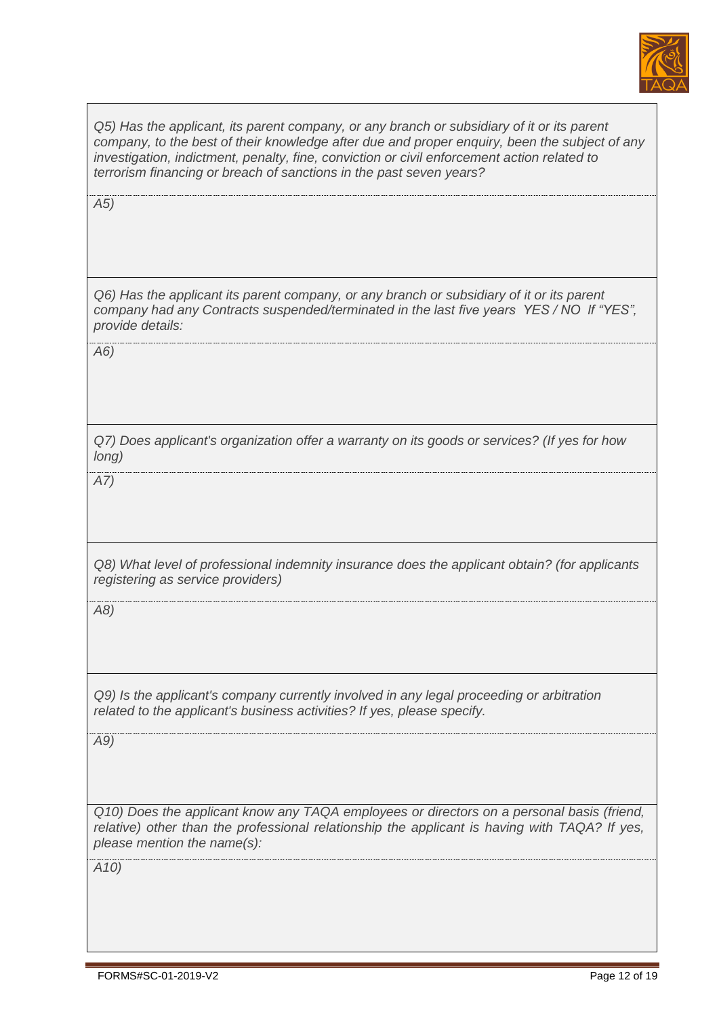

*Q5) Has the applicant, its parent company, or any branch or subsidiary of it or its parent company, to the best of their knowledge after due and proper enquiry, been the subject of any investigation, indictment, penalty, fine, conviction or civil enforcement action related to terrorism financing or breach of sanctions in the past seven years? A5) Q6) Has the applicant its parent company, or any branch or subsidiary of it or its parent company had any Contracts suspended/terminated in the last five years YES / NO lf "YES", provide details: A6) Q7) Does applicant's organization offer a warranty on its goods or services? (If yes for how long) A7) Q8) What level of professional indemnity insurance does the applicant obtain? (for applicants registering as service providers) A8) Q9) Is the applicant's company currently involved in any legal proceeding or arbitration related to the applicant's business activities? If yes, please specify. A9) Q10) Does the applicant know any TAQA employees or directors on a personal basis (friend, relative)* other than the professional relationship the applicant is having with TAQA? If yes, *please mention the name(s): A10)*